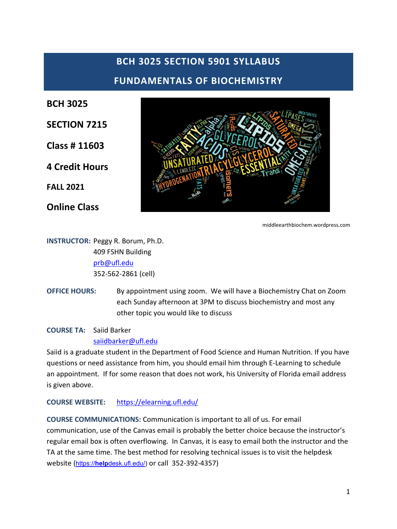# **BCH 3025 SECTION 5901 SYLLABUS FUNDAMENTALS OF BIOCHEMISTRY**

**BCH 3025**

**SECTION 7215**

**Class # 11603**

**4 Credit Hours**

**FALL 2021**

**Online Class**



middleearthbiochem.wordpress.com

**INSTRUCTOR:** Peggy R. Borum, Ph.D. 409 FSHN Building [prb@ufl.edu](mailto:prb@ufl.edu) 352-562-2861 (cell)

**OFFICE HOURS:** By appointment using zoom. We will have a Biochemistry Chat on Zoom each Sunday afternoon at 3PM to discuss biochemistry and most any other topic you would like to discuss

**COURSE TA:** Saiid Barker

[saiidbarker@ufl.edu](mailto:saiidbarker@ufl.edu)

Saiid is a graduate student in the Department of Food Science and Human Nutrition. If you have questions or need assistance from him, you should email him through E-Learning to schedule an appointment. If for some reason that does not work, his University of Florida email address is given above.

### **COURSE WEBSITE:** <https://elearning.ufl.edu/>

**COURSE COMMUNICATIONS:** Communication is important to all of us. For email communication, use of the Canvas email is probably the better choice because the instructor's regular email box is often overflowing. In Canvas, it is easy to email both the instructor and the TA at the same time. The best method for resolving technical issues is to visit the helpdesk website (https://**help**[desk.ufl.edu/\)](https://helpdesk.ufl.edu/) or call [3](http://helpdesk.ufl.edu/)52-392-4357)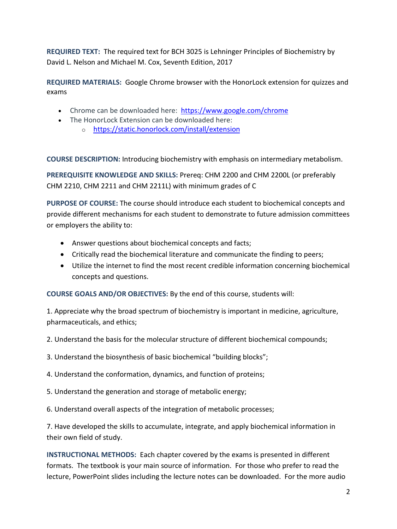**REQUIRED TEXT:** The required text for BCH 3025 is Lehninger Principles of Biochemistry by David L. Nelson and Michael M. Cox, Seventh Edition, 2017

**REQUIRED MATERIALS:** Google Chrome browser with the HonorLock extension for quizzes and exams

- Chrome can be downloaded here: <https://www.google.com/chrome>
- The HonorLock Extension can be downloaded here: o <https://static.honorlock.com/install/extension>

**COURSE DESCRIPTION:** Introducing biochemistry with emphasis on intermediary metabolism.

**PREREQUISITE KNOWLEDGE AND SKILLS:** Prereq: CHM 2200 and CHM 2200L (or preferably CHM 2210, CHM 2211 and CHM 2211L) with minimum grades of C

**PURPOSE OF COURSE:** The course should introduce each student to biochemical concepts and provide different mechanisms for each student to demonstrate to future admission committees or employers the ability to:

- Answer questions about biochemical concepts and facts;
- Critically read the biochemical literature and communicate the finding to peers;
- Utilize the internet to find the most recent credible information concerning biochemical concepts and questions.

**COURSE GOALS AND/OR OBJECTIVES:** By the end of this course, students will:

1. Appreciate why the broad spectrum of biochemistry is important in medicine, agriculture, pharmaceuticals, and ethics;

2. Understand the basis for the molecular structure of different biochemical compounds;

3. Understand the biosynthesis of basic biochemical "building blocks";

4. Understand the conformation, dynamics, and function of proteins;

5. Understand the generation and storage of metabolic energy;

6. Understand overall aspects of the integration of metabolic processes;

7. Have developed the skills to accumulate, integrate, and apply biochemical information in their own field of study.

**INSTRUCTIONAL METHODS:** Each chapter covered by the exams is presented in different formats. The textbook is your main source of information. For those who prefer to read the lecture, PowerPoint slides including the lecture notes can be downloaded. For the more audio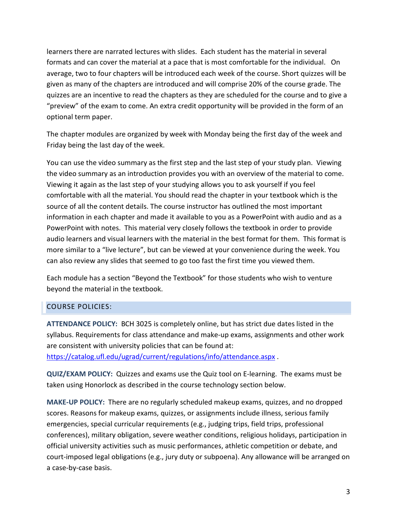learners there are narrated lectures with slides. Each student has the material in several formats and can cover the material at a pace that is most comfortable for the individual. On average, two to four chapters will be introduced each week of the course. Short quizzes will be given as many of the chapters are introduced and will comprise 20% of the course grade. The quizzes are an incentive to read the chapters as they are scheduled for the course and to give a "preview" of the exam to come. An extra credit opportunity will be provided in the form of an optional term paper.

The chapter modules are organized by week with Monday being the first day of the week and Friday being the last day of the week.

You can use the video summary as the first step and the last step of your study plan. Viewing the video summary as an introduction provides you with an overview of the material to come. Viewing it again as the last step of your studying allows you to ask yourself if you feel comfortable with all the material. You should read the chapter in your textbook which is the source of all the content details. The course instructor has outlined the most important information in each chapter and made it available to you as a PowerPoint with audio and as a PowerPoint with notes. This material very closely follows the textbook in order to provide audio learners and visual learners with the material in the best format for them. This format is more similar to a "live lecture", but can be viewed at your convenience during the week. You can also review any slides that seemed to go too fast the first time you viewed them.

Each module has a section "Beyond the Textbook" for those students who wish to venture beyond the material in the textbook.

### COURSE POLICIES:

**ATTENDANCE POLICY:** BCH 3025 is completely online, but has strict due dates listed in the syllabus. Requirements for class attendance and make-up exams, assignments and other work are consistent with university policies that can be found at: <https://catalog.ufl.edu/ugrad/current/regulations/info/attendance.aspx> .

**QUIZ/EXAM POLICY:** Quizzes and exams use the Quiz tool on E-learning. The exams must be taken using Honorlock as described in the course technology section below.

**MAKE-UP POLICY:** There are no regularly scheduled makeup exams, quizzes, and no dropped scores. Reasons for makeup exams, quizzes, or assignments include illness, serious family emergencies, special curricular requirements (e.g., judging trips, field trips, professional conferences), military obligation, severe weather conditions, religious holidays, participation in official university activities such as music performances, athletic competition or debate, and court-imposed legal obligations (e.g., jury duty or subpoena). Any allowance will be arranged on a case-by-case basis.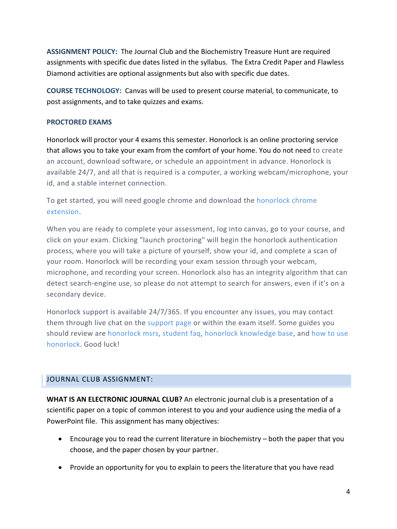**ASSIGNMENT POLICY:** The Journal Club and the Biochemistry Treasure Hunt are required assignments with specific due dates listed in the syllabus. The Extra Credit Paper and Flawless Diamond activities are optional assignments but also with specific due dates.

**COURSE TECHNOLOGY:** Canvas will be used to present course material, to communicate, to post assignments, and to take quizzes and exams.

### **PROCTORED EXAMS**

Honorlock will proctor your 4 exams this semester. Honorlock is an online proctoring service that allows you to take your exam from the comfort of your home. You do not need to create an account, download software, or schedule an appointment in advance. Honorlock is available 24/7, and all that is required is a computer, a working webcam/microphone, your id, and a stable internet connection.

To get started, you will need google chrome and download the [honorlock chrome](https://static.honorlock.com/install/extension)  [extension.](https://static.honorlock.com/install/extension)

When you are ready to complete your assessment, log into canvas, go to your course, and click on your exam. Clicking "launch proctoring" will begin the honorlock authentication process, where you will take a picture of yourself, show your id, and complete a scan of your room. Honorlock will be recording your exam session through your webcam, microphone, and recording your screen. Honorlock also has an integrity algorithm that can detect search-engine use, so please do not attempt to search for answers, even if it's on a secondary device.

Honorlock support is available 24/7/365. If you encounter any issues, you may contact them through live chat on the [support page](https://honorlock.com/support/) or within the exam itself. Some guides you should review are [honorlock msrs,](https://honorlock.kb.help/-students-starting-exam/minimum-system-requirements/) [student](https://honorlock.kb.help/-students-starting-exam/honorlock-student-faq/) faq, [honorlock knowledge base,](https://honorlock.kb.help/) and [how to use](https://www.youtube.com/watch?v=wRWE-9PUquo&feature=youtu.be)  [honorlock.](https://www.youtube.com/watch?v=wRWE-9PUquo&feature=youtu.be) Good luck!

### JOURNAL CLUB ASSIGNMENT:

**WHAT IS AN ELECTRONIC JOURNAL CLUB?** An electronic journal club is a presentation of a scientific paper on a topic of common interest to you and your audience using the media of a PowerPoint file. This assignment has many objectives:

- Encourage you to read the current literature in biochemistry both the paper that you choose, and the paper chosen by your partner.
- Provide an opportunity for you to explain to peers the literature that you have read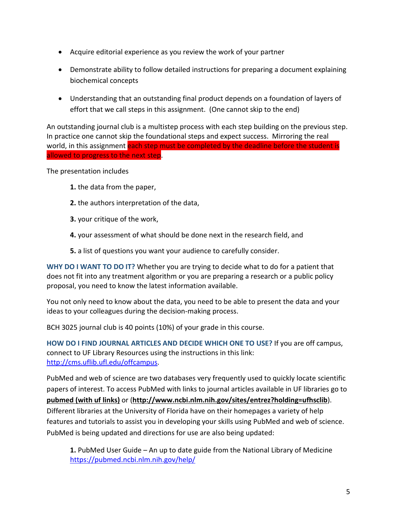- Acquire editorial experience as you review the work of your partner
- Demonstrate ability to follow detailed instructions for preparing a document explaining biochemical concepts
- Understanding that an outstanding final product depends on a foundation of layers of effort that we call steps in this assignment. (One cannot skip to the end)

An outstanding journal club is a multistep process with each step building on the previous step. In practice one cannot skip the foundational steps and expect success. Mirroring the real world, in this assignment each step must be completed by the deadline before the student is allowed to progress to the next step.

The presentation includes

- **1.** the data from the paper,
- **2.** the authors interpretation of the data,
- **3.** your critique of the work.
- **4.** your assessment of what should be done next in the research field, and
- **5.** a list of questions you want your audience to carefully consider.

**WHY DO I WANT TO DO IT?** Whether you are trying to decide what to do for a patient that does not fit into any treatment algorithm or you are preparing a research or a public policy proposal, you need to know the latest information available.

You not only need to know about the data, you need to be able to present the data and your ideas to your colleagues during the decision-making process.

BCH 3025 journal club is 40 points (10%) of your grade in this course.

**HOW DO I FIND JOURNAL ARTICLES AND DECIDE WHICH ONE TO USE?** If you are off campus, connect to UF Library Resources using the instructions in this link: [http://cms.uflib.ufl.edu/offcampus.](http://cms.uflib.ufl.edu/offcampus)

PubMed and web of science are two databases very frequently used to quickly locate scientific papers of interest. To access PubMed with links to journal articles available in UF libraries go to **[pubmed \(with uf links\)](http://www.ncbi.nlm.nih.gov/entrez/query.fcgi?holding=ufhsclib)** or (**<http://www.ncbi.nlm.nih.gov/sites/entrez?holding=ufhsclib>**). Different libraries at the University of Florida have on their homepages a variety of help features and tutorials to assist you in developing your skills using PubMed and web of science. PubMed is being updated and directions for use are also being updated:

**1.** PubMed User Guide – An up to date guide from the National Library of Medicine <https://pubmed.ncbi.nlm.nih.gov/help/>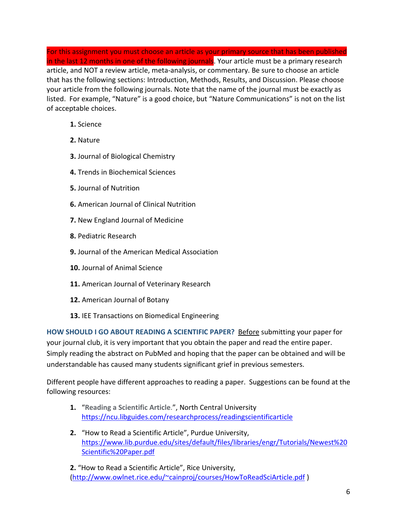For this assignment you must choose an article as your primary source that has been published in the last 12 months in one of the following journals. Your article must be a primary research article, and NOT a review article, meta-analysis, or commentary. Be sure to choose an article that has the following sections: Introduction, Methods, Results, and Discussion. Please choose your article from the following journals. Note that the name of the journal must be exactly as listed. For example, "Nature" is a good choice, but "Nature Communications" is not on the list of acceptable choices.

- **1.** Science
- **2.** Nature
- **3.** Journal of Biological Chemistry
- **4.** Trends in Biochemical Sciences
- **5.** Journal of Nutrition
- **6.** American Journal of Clinical Nutrition
- **7.** New England Journal of Medicine
- **8.** Pediatric Research
- **9.** Journal of the American Medical Association
- **10.** Journal of Animal Science
- **11.** American Journal of Veterinary Research
- **12.** American Journal of Botany
- **13.** IEE Transactions on Biomedical Engineering

**HOW SHOULD I GO ABOUT READING A SCIENTIFIC PAPER?** Before submitting your paper for your journal club, it is very important that you obtain the paper and read the entire paper. Simply reading the abstract on PubMed and hoping that the paper can be obtained and will be understandable has caused many students significant grief in previous semesters.

Different people have different approaches to reading a paper. Suggestions can be found at the following resources:

- **1.** "**Reading a Scientific Article**.", North Central University <https://ncu.libguides.com/researchprocess/readingscientificarticle>
- **2.** "How to Read a Scientific Article", Purdue University, [https://www.lib.purdue.edu/sites/default/files/libraries/engr/Tutorials/Newest%20](https://www.lib.purdue.edu/sites/default/files/libraries/engr/Tutorials/Newest%20Scientific%20Paper.pdf) [Scientific%20Paper.pdf](https://www.lib.purdue.edu/sites/default/files/libraries/engr/Tutorials/Newest%20Scientific%20Paper.pdf)

**2.** "How to Read a Scientific Article", Rice University, [\(http://www.owlnet.rice.edu/~cainproj/courses/HowToReadSciArticle.pdf](http://www.owlnet.rice.edu/%7Ecainproj/courses/HowToReadSciArticle.pdf) )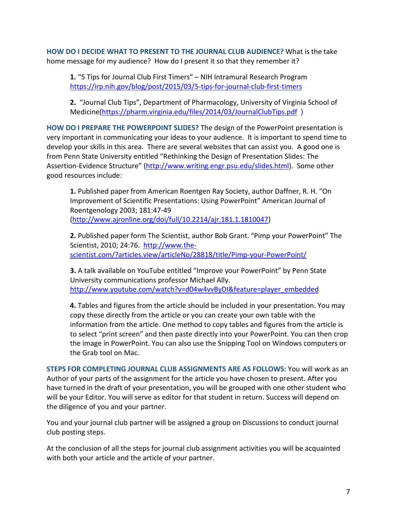**HOW DO I DECIDE WHAT TO PRESENT TO THE JOURNAL CLUB AUDIENCE?** What is the take home message for my audience? How do I present it so that they remember it?

**1.** "5 Tips for Journal Club First Timers" – NIH Intramural Research Program <https://irp.nih.gov/blog/post/2015/03/5-tips-for-journal-club-first-timers>

**2.** "Journal Club Tips", Department of Pharmacology, University of Virginia School of Medicine[\(https://pharm.virginia.edu/files/2014/03/JournalClubTips.pdf](https://pharm.virginia.edu/files/2014/03/JournalClubTips.pdf) )

**HOW DO I PREPARE THE POWERPOINT SLIDES?** The design of the PowerPoint presentation is very important in communicating your ideas to your audience. It is important to spend time to develop your skills in this area. There are several websites that can assist you. A good one is from Penn State University entitled "Rethinking the Design of Presentation Slides: The Assertion-Evidence Structure" [\(http://www.writing.engr.psu.edu/slides.html\)](http://www.writing.engr.psu.edu/slides.html). Some other good resources include:

**1.** Published paper from American Roentgen Ray Society, author Daffner, R. H. "On Improvement of Scientific Presentations: Using PowerPoint" American Journal of Roentgenology 2003; 181:47-49 [\(http://www.ajronline.org/doi/full/10.2214/ajr.181.1.1810047\)](http://www.ajronline.org/doi/full/10.2214/ajr.181.1.1810047)

**2.** Published paper form The Scientist, author Bob Grant. "Pimp your PowerPoint" The Scientist, 2010; 24:76. [http://www.the](http://www.the-scientist.com/?articles.view/articleNo/28818/title/Pimp-your-PowerPoint/)[scientist.com/?articles.view/articleNo/28818/title/Pimp-your-PowerPoint/](http://www.the-scientist.com/?articles.view/articleNo/28818/title/Pimp-your-PowerPoint/)

**3.** A talk available on YouTube entitled "Improve your PowerPoint" by Penn State University communications professor Michael Ally. [http://www.youtube.com/watch?v=d04w4vvByDI&feature=player\\_embedded](http://www.youtube.com/watch?v=d04w4vvByDI&feature=player_embedded)

**4.** Tables and figures from the article should be included in your presentation. You may copy these directly from the article or you can create your own table with the information from the article. One method to copy tables and figures from the article is to select "print screen" and then paste directly into your PowerPoint. You can then crop the image in PowerPoint. You can also use the Snipping Tool on Windows computers or the Grab tool on Mac.

**STEPS FOR COMPLETING JOURNAL CLUB ASSIGNMENTS ARE AS FOLLOWS:** You will work as an Author of your parts of the assignment for the article you have chosen to present. After you have turned in the draft of your presentation, you will be grouped with one other student who will be your Editor. You will serve as editor for that student in return. Success will depend on the diligence of you and your partner.

You and your journal club partner will be assigned a group on Discussions to conduct journal club posting steps.

At the conclusion of all the steps for journal club assignment activities you will be acquainted with both your article and the article of your partner.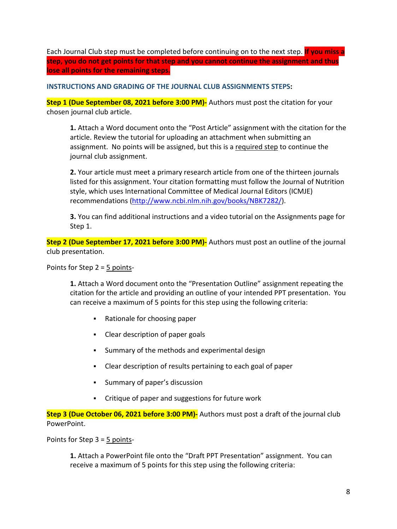Each Journal Club step must be completed before continuing on to the next step. **If you miss a step, you do not get points for that step and you cannot continue the assignment and thus lose all points for the remaining steps.**

**INSTRUCTIONS AND GRADING OF THE JOURNAL CLUB ASSIGNMENTS STEPS:** 

**Step 1 (Due September 08, 2021 before 3:00 PM)-** Authors must post the citation for your chosen journal club article.

**1.** Attach a Word document onto the "Post Article" assignment with the citation for the article. Review the tutorial for uploading an attachment when submitting an assignment. No points will be assigned, but this is a required step to continue the journal club assignment.

**2.** Your article must meet a primary research article from one of the thirteen journals listed for this assignment. Your citation formatting must follow the Journal of Nutrition style, which uses International Committee of Medical Journal Editors (ICMJE) recommendations [\(http://www.ncbi.nlm.nih.gov/books/NBK7282/\)](http://www.ncbi.nlm.nih.gov/books/NBK7282/).

**3.** You can find additional instructions and a video tutorial on the Assignments page for Step 1.

**Step 2 (Due September 17, 2021 before 3:00 PM)-** Authors must post an outline of the journal club presentation.

Points for Step 2 = 5 points-

**1.** Attach a Word document onto the "Presentation Outline" assignment repeating the citation for the article and providing an outline of your intended PPT presentation. You can receive a maximum of 5 points for this step using the following criteria:

- Rationale for choosing paper
- Clear description of paper goals
- Summary of the methods and experimental design
- Clear description of results pertaining to each goal of paper
- Summary of paper's discussion
- Critique of paper and suggestions for future work

**Step 3 (Due October 06, 2021 before 3:00 PM)-** Authors must post a draft of the journal club PowerPoint.

Points for Step 3 = 5 points-

**1.** Attach a PowerPoint file onto the "Draft PPT Presentation" assignment. You can receive a maximum of 5 points for this step using the following criteria: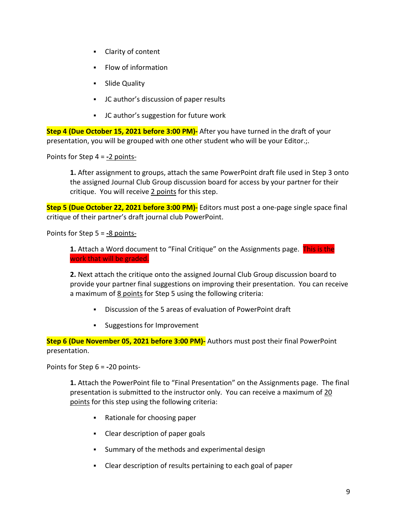- Clarity of content
- **Flow of information**
- **-** Slide Quality
- JC author's discussion of paper results
- JC author's suggestion for future work

**Step 4 (Due October 15, 2021 before 3:00 PM)-** After you have turned in the draft of your presentation, you will be grouped with one other student who will be your Editor.;.

Points for Step 4 = **-**2 points-

**1.** After assignment to groups, attach the same PowerPoint draft file used in Step 3 onto the assigned Journal Club Group discussion board for access by your partner for their critique. You will receive 2 points for this step.

**Step 5 (Due October 22, 2021 before 3:00 PM)-** Editors must post a one-page single space final critique of their partner's draft journal club PowerPoint.

Points for Step 5 = **-**8 points-

**1.** Attach a Word document to "Final Critique" on the Assignments page. This is the work that will be graded.

**2.** Next attach the critique onto the assigned Journal Club Group discussion board to provide your partner final suggestions on improving their presentation. You can receive a maximum of 8 points for Step 5 using the following criteria:

- Discussion of the 5 areas of evaluation of PowerPoint draft
- Suggestions for Improvement

**Step 6 (Due November 05, 2021 before 3:00 PM)-** Authors must post their final PowerPoint presentation.

Points for Step 6 = **-**20 points-

**1.** Attach the PowerPoint file to "Final Presentation" on the Assignments page. The final presentation is submitted to the instructor only. You can receive a maximum of 20 points for this step using the following criteria:

- Rationale for choosing paper
- Clear description of paper goals
- Summary of the methods and experimental design
- Clear description of results pertaining to each goal of paper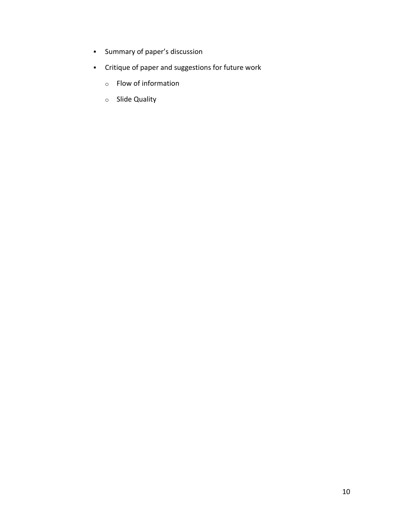- **Summary of paper's discussion**
- Critique of paper and suggestions for future work
	- o Flow of information
	- o Slide Quality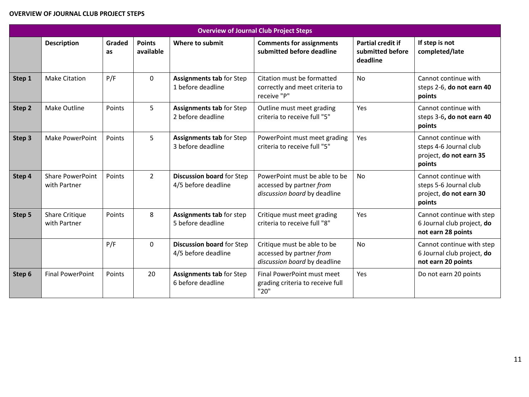#### **OVERVIEW OF JOURNAL CLUB PROJECT STEPS**

| <b>Overview of Journal Club Project Steps</b> |                                         |              |                            |                                                         |                                                                                           |                                                          |                                                                                     |
|-----------------------------------------------|-----------------------------------------|--------------|----------------------------|---------------------------------------------------------|-------------------------------------------------------------------------------------------|----------------------------------------------------------|-------------------------------------------------------------------------------------|
|                                               | <b>Description</b>                      | Graded<br>as | <b>Points</b><br>available | Where to submit                                         | <b>Comments for assignments</b><br>submitted before deadline                              | <b>Partial credit if</b><br>submitted before<br>deadline | If step is not<br>completed/late                                                    |
| Step 1                                        | <b>Make Citation</b>                    | P/F          | $\mathbf 0$                | <b>Assignments tab for Step</b><br>1 before deadline    | Citation must be formatted<br>correctly and meet criteria to<br>receive "P"               | <b>No</b>                                                | Cannot continue with<br>steps 2-6, do not earn 40<br>points                         |
| Step 2                                        | Make Outline                            | Points       | 5                          | Assignments tab for Step<br>2 before deadline           | Outline must meet grading<br>criteria to receive full "5"                                 | Yes                                                      | Cannot continue with<br>steps 3-6, do not earn 40<br>points                         |
| Step 3                                        | Make PowerPoint                         | Points       | 5                          | <b>Assignments tab for Step</b><br>3 before deadline    | PowerPoint must meet grading<br>criteria to receive full "5"                              | Yes                                                      | Cannot continue with<br>steps 4-6 Journal club<br>project, do not earn 35<br>points |
| Step 4                                        | <b>Share PowerPoint</b><br>with Partner | Points       | $\overline{2}$             | Discussion board for Step<br>4/5 before deadline        | PowerPoint must be able to be<br>accessed by partner from<br>discussion board by deadline | <b>No</b>                                                | Cannot continue with<br>steps 5-6 Journal club<br>project, do not earn 30<br>points |
| Step 5                                        | <b>Share Critique</b><br>with Partner   | Points       | 8                          | Assignments tab for step<br>5 before deadline           | Critique must meet grading<br>criteria to receive full "8"                                | Yes                                                      | Cannot continue with step<br>6 Journal club project, do<br>not earn 28 points       |
|                                               |                                         | P/F          | $\mathbf 0$                | <b>Discussion board for Step</b><br>4/5 before deadline | Critique must be able to be<br>accessed by partner from<br>discussion board by deadline   | <b>No</b>                                                | Cannot continue with step<br>6 Journal club project, do<br>not earn 20 points       |
| Step 6                                        | <b>Final PowerPoint</b>                 | Points       | 20                         | Assignments tab for Step<br>6 before deadline           | Final PowerPoint must meet<br>grading criteria to receive full<br>"20"                    | Yes                                                      | Do not earn 20 points                                                               |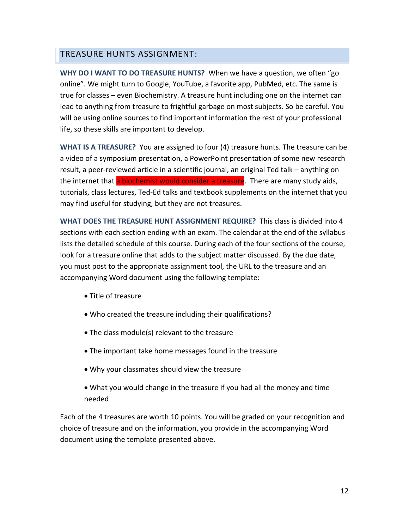## TREASURE HUNTS ASSIGNMENT:

**WHY DO I WANT TO DO TREASURE HUNTS?** When we have a question, we often "go online". We might turn to Google, YouTube, a favorite app, PubMed, etc. The same is true for classes – even Biochemistry. A treasure hunt including one on the internet can lead to anything from treasure to frightful garbage on most subjects. So be careful. You will be using online sources to find important information the rest of your professional life, so these skills are important to develop.

**WHAT IS A TREASURE?** You are assigned to four (4) treasure hunts. The treasure can be a video of a symposium presentation, a PowerPoint presentation of some new research result, a peer-reviewed article in a scientific journal, an original Ted talk – anything on the internet that a biochemist would consider a treasure. There are many study aids, tutorials, class lectures, Ted-Ed talks and textbook supplements on the internet that you may find useful for studying, but they are not treasures.

**WHAT DOES THE TREASURE HUNT ASSIGNMENT REQUIRE?** This class is divided into 4 sections with each section ending with an exam. The calendar at the end of the syllabus lists the detailed schedule of this course. During each of the four sections of the course, look for a treasure online that adds to the subject matter discussed. By the due date, you must post to the appropriate assignment tool, the URL to the treasure and an accompanying Word document using the following template:

- Title of treasure
- Who created the treasure including their qualifications?
- The class module(s) relevant to the treasure
- The important take home messages found in the treasure
- Why your classmates should view the treasure
- What you would change in the treasure if you had all the money and time needed

Each of the 4 treasures are worth 10 points. You will be graded on your recognition and choice of treasure and on the information, you provide in the accompanying Word document using the template presented above.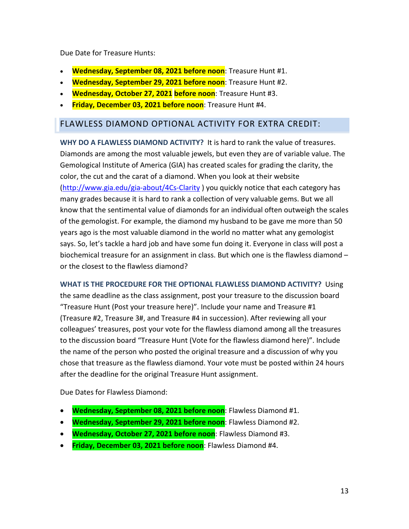Due Date for Treasure Hunts:

- **Wednesday, September 08, 2021 before noon**: Treasure Hunt #1.
- **Wednesday, September 29, 2021 before noon**: Treasure Hunt #2.
- **Wednesday, October 27, 2021 before noon**: Treasure Hunt #3.
- **Friday, December 03, 2021 before noon**: Treasure Hunt #4.

### FLAWLESS DIAMOND OPTIONAL ACTIVITY FOR EXTRA CREDIT:

**WHY DO A FLAWLESS DIAMOND ACTIVITY?** It is hard to rank the value of treasures. Diamonds are among the most valuable jewels, but even they are of variable value. The Gemological Institute of America (GIA) has created scales for grading the clarity, the color, the cut and the carat of a diamond. When you look at their website [\(http://www.gia.edu/gia-about/4Cs-Clarity](http://www.gia.edu/gia-about/4Cs-Clarity) ) you quickly notice that each category has many grades because it is hard to rank a collection of very valuable gems. But we all know that the sentimental value of diamonds for an individual often outweigh the scales of the gemologist. For example, the diamond my husband to be gave me more than 50 years ago is the most valuable diamond in the world no matter what any gemologist says. So, let's tackle a hard job and have some fun doing it. Everyone in class will post a biochemical treasure for an assignment in class. But which one is the flawless diamond – or the closest to the flawless diamond?

**WHAT IS THE PROCEDURE FOR THE OPTIONAL FLAWLESS DIAMOND ACTIVITY?** Using the same deadline as the class assignment, post your treasure to the discussion board "Treasure Hunt (Post your treasure here)". Include your name and Treasure #1 (Treasure #2, Treasure 3#, and Treasure #4 in succession). After reviewing all your colleagues' treasures, post your vote for the flawless diamond among all the treasures to the discussion board "Treasure Hunt (Vote for the flawless diamond here)". Include the name of the person who posted the original treasure and a discussion of why you chose that treasure as the flawless diamond. Your vote must be posted within 24 hours after the deadline for the original Treasure Hunt assignment.

Due Dates for Flawless Diamond:

- **Wednesday, September 08, 2021 before noon**: Flawless Diamond #1.
- **Wednesday, September 29, 2021 before noon**: Flawless Diamond #2.
- **Wednesday, October 27, 2021 before noon**: Flawless Diamond #3.
- **Friday, December 03, 2021 before noon**: Flawless Diamond #4.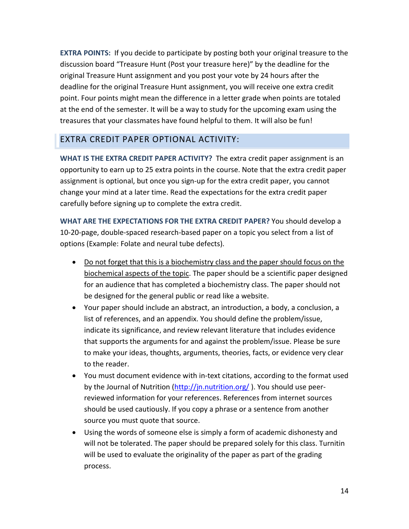**EXTRA POINTS:** If you decide to participate by posting both your original treasure to the discussion board "Treasure Hunt (Post your treasure here)" by the deadline for the original Treasure Hunt assignment and you post your vote by 24 hours after the deadline for the original Treasure Hunt assignment, you will receive one extra credit point. Four points might mean the difference in a letter grade when points are totaled at the end of the semester. It will be a way to study for the upcoming exam using the treasures that your classmates have found helpful to them. It will also be fun!

# EXTRA CREDIT PAPER OPTIONAL ACTIVITY:

**WHAT IS THE EXTRA CREDIT PAPER ACTIVITY?** The extra credit paper assignment is an opportunity to earn up to 25 extra points in the course. Note that the extra credit paper assignment is optional, but once you sign-up for the extra credit paper, you cannot change your mind at a later time. Read the expectations for the extra credit paper carefully before signing up to complete the extra credit.

**WHAT ARE THE EXPECTATIONS FOR THE EXTRA CREDIT PAPER?** You should develop a 10-20-page, double-spaced research-based paper on a topic you select from a list of options (Example: Folate and neural tube defects).

- Do not forget that this is a biochemistry class and the paper should focus on the biochemical aspects of the topic. The paper should be a scientific paper designed for an audience that has completed a biochemistry class. The paper should not be designed for the general public or read like a website.
- Your paper should include an abstract, an introduction, a body, a conclusion, a list of references, and an appendix. You should define the problem/issue, indicate its significance, and review relevant literature that includes evidence that supports the arguments for and against the problem/issue. Please be sure to make your ideas, thoughts, arguments, theories, facts, or evidence very clear to the reader.
- You must document evidence with in-text citations, according to the format used by the Journal of Nutrition [\(http://jn.nutrition.org/](http://jn.nutrition.org/)). You should use peerreviewed information for your references. References from internet sources should be used cautiously. If you copy a phrase or a sentence from another source you must quote that source.
- Using the words of someone else is simply a form of academic dishonesty and will not be tolerated. The paper should be prepared solely for this class. Turnitin will be used to evaluate the originality of the paper as part of the grading process.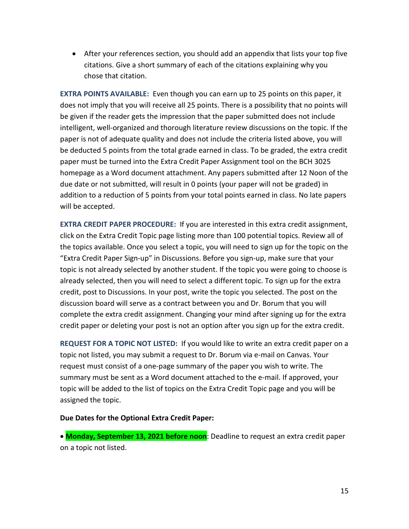• After your references section, you should add an appendix that lists your top five citations. Give a short summary of each of the citations explaining why you chose that citation.

**EXTRA POINTS AVAILABLE:** Even though you can earn up to 25 points on this paper, it does not imply that you will receive all 25 points. There is a possibility that no points will be given if the reader gets the impression that the paper submitted does not include intelligent, well-organized and thorough literature review discussions on the topic. If the paper is not of adequate quality and does not include the criteria listed above, you will be deducted 5 points from the total grade earned in class. To be graded, the extra credit paper must be turned into the Extra Credit Paper Assignment tool on the BCH 3025 homepage as a Word document attachment. Any papers submitted after 12 Noon of the due date or not submitted, will result in 0 points (your paper will not be graded) in addition to a reduction of 5 points from your total points earned in class. No late papers will be accepted.

**EXTRA CREDIT PAPER PROCEDURE:** If you are interested in this extra credit assignment, click on the Extra Credit Topic page listing more than 100 potential topics. Review all of the topics available. Once you select a topic, you will need to sign up for the topic on the "Extra Credit Paper Sign-up" in Discussions. Before you sign-up, make sure that your topic is not already selected by another student. If the topic you were going to choose is already selected, then you will need to select a different topic. To sign up for the extra credit, post to Discussions. In your post, write the topic you selected. The post on the discussion board will serve as a contract between you and Dr. Borum that you will complete the extra credit assignment. Changing your mind after signing up for the extra credit paper or deleting your post is not an option after you sign up for the extra credit.

**REQUEST FOR A TOPIC NOT LISTED:** If you would like to write an extra credit paper on a topic not listed, you may submit a request to Dr. Borum via e-mail on Canvas. Your request must consist of a one-page summary of the paper you wish to write. The summary must be sent as a Word document attached to the e-mail. If approved, your topic will be added to the list of topics on the Extra Credit Topic page and you will be assigned the topic.

#### **Due Dates for the Optional Extra Credit Paper:**

• **Monday, September 13, 2021 before noon**: Deadline to request an extra credit paper on a topic not listed.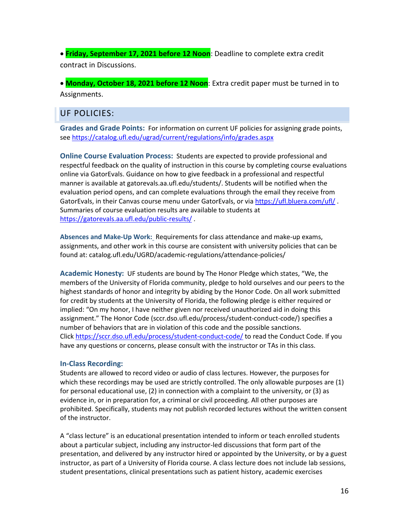• **Friday, September 17, 2021 before 12 Noon**: Deadline to complete extra credit contract in Discussions.

• **Monday, October 18, 2021 before 12 Noon**: Extra credit paper must be turned in to Assignments.

# UF POLICIES:

**Grades and Grade Points:** For information on current UF policies for assigning grade points, se[e https://catalog.ufl.edu/ugrad/current/regulations/info/grades.aspx](https://catalog.ufl.edu/ugrad/current/regulations/info/grades.aspx)

**Online Course Evaluation Process:** Students are expected to provide professional and respectful feedback on the quality of instruction in this course by completing course evaluations online via GatorEvals. Guidance on how to give feedback in a professional and respectful manner is available at gatorevals.aa.ufl.edu/students/. Students will be notified when the evaluation period opens, and can complete evaluations through the email they receive from GatorEvals, in their Canvas course menu under GatorEvals, or via <https://ufl.bluera.com/ufl/> . Summaries of course evaluation results are available to students at <https://gatorevals.aa.ufl.edu/public-results/> .

**Absences and Make-Up Work:** Requirements for class attendance and make-up exams, assignments, and other work in this course are consistent with university policies that can be found at: catalog.ufl.edu/UGRD/academic-regulations/attendance-policies/

**Academic Honesty:** UF students are bound by The Honor Pledge which states, "We, the members of the University of Florida community, pledge to hold ourselves and our peers to the highest standards of honor and integrity by abiding by the Honor Code. On all work submitted for credit by students at the University of Florida, the following pledge is either required or implied: "On my honor, I have neither given nor received unauthorized aid in doing this assignment." The Honor Code (sccr.dso.ufl.edu/process/student-conduct-code/) specifies a number of behaviors that are in violation of this code and the possible sanctions. Click <https://sccr.dso.ufl.edu/process/student-conduct-code/> to read the Conduct Code. If you have any questions or concerns, please consult with the instructor or TAs in this class.

#### **In-Class Recording:**

Students are allowed to record video or audio of class lectures. However, the purposes for which these recordings may be used are strictly controlled. The only allowable purposes are (1) for personal educational use, (2) in connection with a complaint to the university, or (3) as evidence in, or in preparation for, a criminal or civil proceeding. All other purposes are prohibited. Specifically, students may not publish recorded lectures without the written consent of the instructor.

A "class lecture" is an educational presentation intended to inform or teach enrolled students about a particular subject, including any instructor-led discussions that form part of the presentation, and delivered by any instructor hired or appointed by the University, or by a guest instructor, as part of a University of Florida course. A class lecture does not include lab sessions, student presentations, clinical presentations such as patient history, academic exercises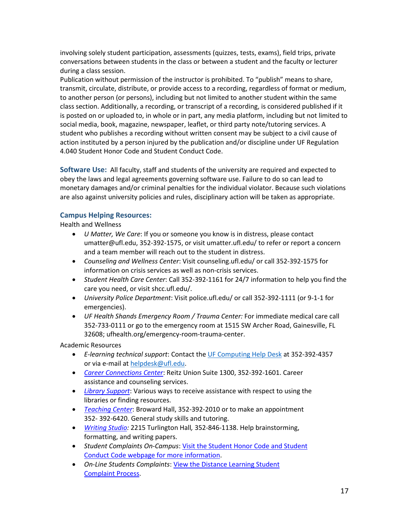involving solely student participation, assessments (quizzes, tests, exams), field trips, private conversations between students in the class or between a student and the faculty or lecturer during a class session.

Publication without permission of the instructor is prohibited. To "publish" means to share, transmit, circulate, distribute, or provide access to a recording, regardless of format or medium, to another person (or persons), including but not limited to another student within the same class section. Additionally, a recording, or transcript of a recording, is considered published if it is posted on or uploaded to, in whole or in part, any media platform, including but not limited to social media, book, magazine, newspaper, leaflet, or third party note/tutoring services. A student who publishes a recording without written consent may be subject to a civil cause of action instituted by a person injured by the publication and/or discipline under UF Regulation 4.040 Student Honor Code and Student Conduct Code.

**Software Use:** All faculty, staff and students of the university are required and expected to obey the laws and legal agreements governing software use. Failure to do so can lead to monetary damages and/or criminal penalties for the individual violator. Because such violations are also against university policies and rules, disciplinary action will be taken as appropriate.

#### **Campus Helping Resources:**

Health and Wellness

- *U Matter, We Care*: If you or someone you know is in distress, please contact umatter@ufl.edu, 352-392-1575, or visit umatter.ufl.edu/ to refer or report a concern and a team member will reach out to the student in distress.
- *Counseling and Wellness Center*: Visit counseling.ufl.edu/ or call 352-392-1575 for information on crisis services as well as non-crisis services.
- *Student Health Care Center*: Call 352-392-1161 for 24/7 information to help you find the care you need, or visit shcc.ufl.edu/.
- *University Police Department*: Visit police.ufl.edu/ or call 352-392-1111 (or 9-1-1 for emergencies).
- *UF Health Shands Emergency Room / Trauma Center:* For immediate medical care call 352-733-0111 or go to the emergency room at 1515 SW Archer Road, Gainesville, FL 32608; ufhealth.org/emergency-room-trauma-center.

Academic Resources

- *E-learning technical support*: Contact the [UF Computing Help Desk](http://helpdesk.ufl.edu/) at 352-392-4357 or via e-mail at [helpdesk@ufl.edu.](mailto:helpdesk@ufl.edu)
- *[Career Connections Center](https://career.ufl.edu/)*: Reitz Union Suite 1300, 352-392-1601. Career assistance and counseling services.
- *[Library Support](https://cms.uflib.ufl.edu/ask)*: Various ways to receive assistance with respect to using the libraries or finding resources.
- *[Teaching Center](https://teachingcenter.ufl.edu/)*: Broward Hall, 352-392-2010 or to make an appointment 352- 392-6420. General study skills and tutoring.
- *[Writing Studio:](https://writing.ufl.edu/writing-studio/)* 2215 Turlington Hall*,* 352-846-1138. Help brainstorming, formatting, and writing papers.
- *Student Complaints On-Campus*: [Visit the Student Honor Code and Student](https://sccr.dso.ufl.edu/policies/student-honor-%20code-student-conduct-code/)  [Conduct Code webpage for more information.](https://sccr.dso.ufl.edu/policies/student-honor-%20code-student-conduct-code/)
- *On-Line Students Complaints*[: View the Distance Learning Student](https://distance.ufl.edu/getting-help/student-complaint-process/)  [Complaint Process.](https://distance.ufl.edu/getting-help/student-complaint-process/)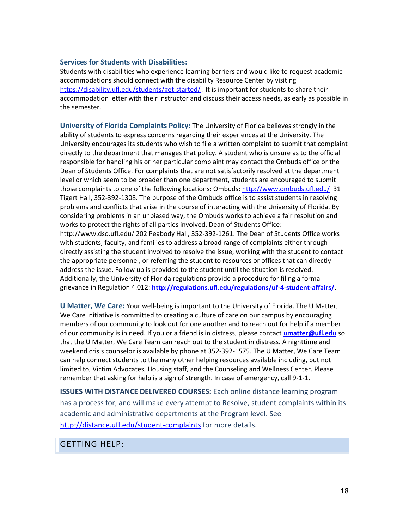#### **Services for Students with Disabilities:**

Students with disabilities who experience learning barriers and would like to request academic accommodations should connect with the disability Resource Center by visiting <https://disability.ufl.edu/students/get-started/> . It is important for students to share their accommodation letter with their instructor and discuss their access needs, as early as possible in the semester.

**University of Florida Complaints Policy:** The University of Florida believes strongly in the ability of students to express concerns regarding their experiences at the University. The University encourages its students who wish to file a written complaint to submit that complaint directly to the department that manages that policy. A student who is unsure as to the official responsible for handling his or her particular complaint may contact the Ombuds office or the Dean of Students Office. For complaints that are not satisfactorily resolved at the department level or which seem to be broader than one department, students are encouraged to submit those complaints to one of the following locations: Ombuds[: http://www.ombuds.ufl.edu/](http://www.ombuds.ufl.edu/) 31 Tigert Hall, 352-392-1308. The purpose of the Ombuds office is to assist students in resolving problems and conflicts that arise in the course of interacting with the University of Florida. By considering problems in an unbiased way, the Ombuds works to achieve a fair resolution and works to protect the rights of all parties involved. Dean of Students Office: http://www.dso.ufl.edu/ 202 Peabody Hall, 352-392-1261. The Dean of Students Office works with students, faculty, and families to address a broad range of complaints either through directly assisting the student involved to resolve the issue, working with the student to contact the appropriate personnel, or referring the student to resources or offices that can directly address the issue. Follow up is provided to the student until the situation is resolved. Additionally, the University of Florida regulations provide a procedure for filing a formal

grievance in Regulation 4.012: **[http://regulations.ufl.edu/regulations/uf-4-student-affairs/.](http://regulations.ufl.edu/regulations/uf-4-student-affairs/)**

**U Matter, We Care:** Your well-being is important to the University of Florida. The U Matter, We Care initiative is committed to creating a culture of care on our campus by encouraging members of our community to look out for one another and to reach out for help if a member of our community is in need. If you or a friend is in distress, please contact **[umatter@ufl.edu](mailto:umatter@ufl.edu)** so that the U Matter, We Care Team can reach out to the student in distress. A nighttime and weekend crisis counselor is available by phone at 352-392-1575. The U Matter, We Care Team can help connect students to the many other helping resources available including, but not limited to, Victim Advocates, Housing staff, and the Counseling and Wellness Center. Please remember that asking for help is a sign of strength. In case of emergency, call 9-1-1.

**ISSUES WITH DISTANCE DELIVERED COURSES:** Each online distance learning program has a process for, and will make every attempt to Resolve, student complaints within its academic and administrative departments at the Program level. See <http://distance.ufl.edu/student-complaints> for more details.

GETTING HELP: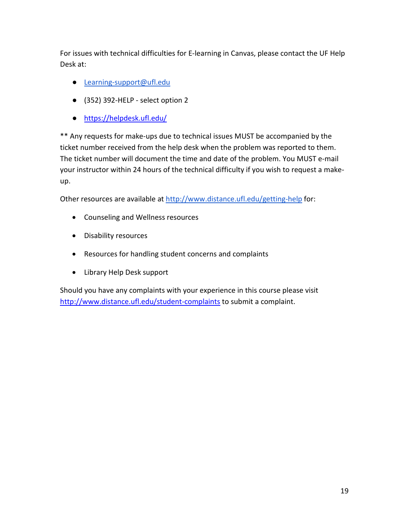For issues with technical difficulties for E-learning in Canvas, please contact the UF Help Desk at:

- [Learning-support@ufl.edu](mailto:Learning-support@ufl.edu)
- (352) 392-HELP select option 2
- <https://helpdesk.ufl.edu/>

\*\* Any requests for make-ups due to technical issues MUST be accompanied by the ticket number received from the help desk when the problem was reported to them. The ticket number will document the time and date of the problem. You MUST e-mail your instructor within 24 hours of the technical difficulty if you wish to request a makeup.

Other resources are available at<http://www.distance.ufl.edu/getting-help> for:

- Counseling and Wellness resources
- Disability resources
- Resources for handling student concerns and complaints
- Library Help Desk support

Should you have any complaints with your experience in this course please visit <http://www.distance.ufl.edu/student-complaints> to submit a complaint.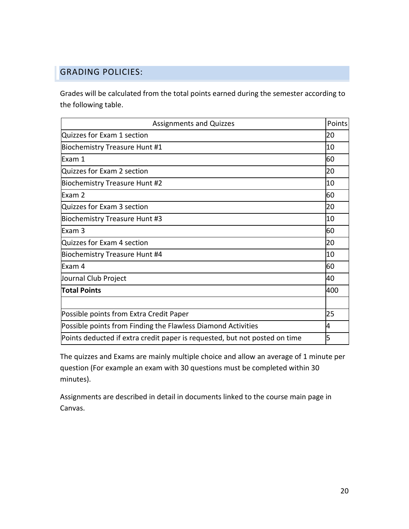# GRADING POLICIES:

Grades will be calculated from the total points earned during the semester according to the following table.

| <b>Assignments and Quizzes</b>                                             | Points |
|----------------------------------------------------------------------------|--------|
| Quizzes for Exam 1 section                                                 | 20     |
| Biochemistry Treasure Hunt #1                                              | 10     |
| Exam 1                                                                     | 60     |
| Quizzes for Exam 2 section                                                 | 20     |
| Biochemistry Treasure Hunt #2                                              | 10     |
| Exam 2                                                                     | 60     |
| Quizzes for Exam 3 section                                                 | 20     |
| Biochemistry Treasure Hunt #3                                              | 10     |
| Exam 3                                                                     | 60     |
| Quizzes for Exam 4 section                                                 | 20     |
| Biochemistry Treasure Hunt #4                                              | 10     |
| Exam 4                                                                     | 60     |
| Journal Club Project                                                       | 40     |
| <b>Total Points</b>                                                        | 400    |
|                                                                            |        |
| Possible points from Extra Credit Paper                                    | 25     |
| Possible points from Finding the Flawless Diamond Activities               | 4      |
| Points deducted if extra credit paper is requested, but not posted on time | 5      |

The quizzes and Exams are mainly multiple choice and allow an average of 1 minute per question (For example an exam with 30 questions must be completed within 30 minutes).

Assignments are described in detail in documents linked to the course main page in Canvas.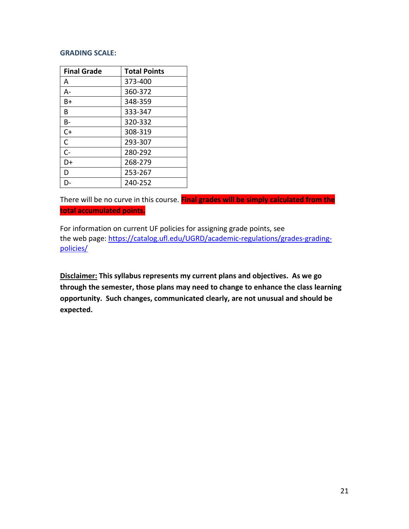#### **GRADING SCALE:**

| <b>Final Grade</b> | <b>Total Points</b> |
|--------------------|---------------------|
| А                  | 373-400             |
| А-                 | 360-372             |
| B+                 | 348-359             |
| B                  | 333-347             |
| B-                 | 320-332             |
| $C+$               | 308-319             |
| C                  | 293-307             |
| $C -$              | 280-292             |
| D+                 | 268-279             |
| D                  | 253-267             |
| D-                 | 240-252             |

There will be no curve in this course. **Final grades will be simply calculated from the total accumulated points.**

For information on current UF policies for assigning grade points, see the web page: [https://catalog.ufl.edu/UGRD/academic-regulations/grades-grading](https://catalog.ufl.edu/UGRD/academic-regulations/grades-grading-policies/)[policies/](https://catalog.ufl.edu/UGRD/academic-regulations/grades-grading-policies/)

**Disclaimer: This syllabus represents my current plans and objectives. As we go through the semester, those plans may need to change to enhance the class learning opportunity. Such changes, communicated clearly, are not unusual and should be expected.**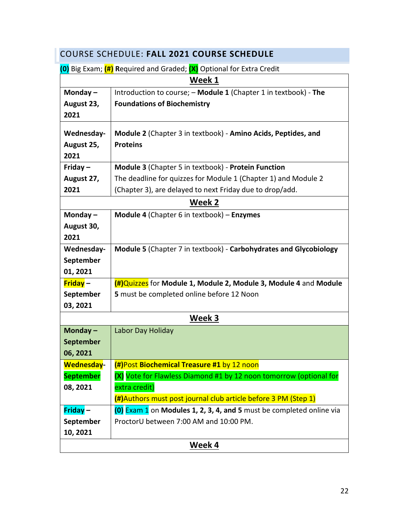| COURSE SCHEDULE: FALL 2021 COURSE SCHEDULE                           |                                                                      |  |  |
|----------------------------------------------------------------------|----------------------------------------------------------------------|--|--|
| (0) Big Exam; (#) Required and Graded; (X) Optional for Extra Credit |                                                                      |  |  |
| Week 1                                                               |                                                                      |  |  |
| Monday $-$                                                           | Introduction to course; - Module 1 (Chapter 1 in textbook) - The     |  |  |
| August 23,                                                           | <b>Foundations of Biochemistry</b>                                   |  |  |
| 2021                                                                 |                                                                      |  |  |
| Wednesday-                                                           | Module 2 (Chapter 3 in textbook) - Amino Acids, Peptides, and        |  |  |
| August 25,                                                           | <b>Proteins</b>                                                      |  |  |
| 2021                                                                 |                                                                      |  |  |
| Friday $-$                                                           | Module 3 (Chapter 5 in textbook) - Protein Function                  |  |  |
| August 27,                                                           | The deadline for quizzes for Module 1 (Chapter 1) and Module 2       |  |  |
| 2021                                                                 | (Chapter 3), are delayed to next Friday due to drop/add.             |  |  |
|                                                                      | Week 2                                                               |  |  |
| Monday $-$                                                           | Module 4 (Chapter 6 in textbook) - Enzymes                           |  |  |
| August 30,                                                           |                                                                      |  |  |
| 2021                                                                 |                                                                      |  |  |
| Wednesday-                                                           | Module 5 (Chapter 7 in textbook) - Carbohydrates and Glycobiology    |  |  |
| September                                                            |                                                                      |  |  |
| 01, 2021                                                             |                                                                      |  |  |
| Friday-                                                              | (#)Quizzes for Module 1, Module 2, Module 3, Module 4 and Module     |  |  |
| September                                                            | 5 must be completed online before 12 Noon                            |  |  |
| 03, 2021                                                             |                                                                      |  |  |
|                                                                      | Week 3                                                               |  |  |
| Monday-                                                              | Labor Day Holiday                                                    |  |  |
| <b>September</b>                                                     |                                                                      |  |  |
| 06, 2021                                                             |                                                                      |  |  |
| <b>Wednesday-</b>                                                    | (#)Post Biochemical Treasure #1 by 12 noon                           |  |  |
| <b>September</b>                                                     | (X) Vote for Flawless Diamond #1 by 12 noon tomorrow (optional for   |  |  |
| 08, 2021                                                             | extra credit)                                                        |  |  |
|                                                                      | (#)Authors must post journal club article before 3 PM (Step 1)       |  |  |
| Friday-                                                              | (0) Exam 1 on Modules 1, 2, 3, 4, and 5 must be completed online via |  |  |
| September                                                            | ProctorU between 7:00 AM and 10:00 PM.                               |  |  |
| 10, 2021                                                             |                                                                      |  |  |
| Week 4                                                               |                                                                      |  |  |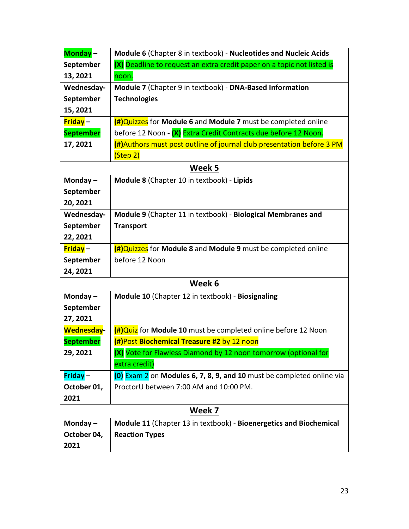| Monday-           | Module 6 (Chapter 8 in textbook) - Nucleotides and Nucleic Acids       |  |  |  |
|-------------------|------------------------------------------------------------------------|--|--|--|
| September         | (X) Deadline to request an extra credit paper on a topic not listed is |  |  |  |
| 13, 2021          | noon.                                                                  |  |  |  |
| Wednesday-        | Module 7 (Chapter 9 in textbook) - DNA-Based Information               |  |  |  |
| September         | <b>Technologies</b>                                                    |  |  |  |
| 15, 2021          |                                                                        |  |  |  |
| $Friday -$        | (#)Quizzes for Module 6 and Module 7 must be completed online          |  |  |  |
| <b>September</b>  | before 12 Noon - (X) Extra Credit Contracts due before 12 Noon.        |  |  |  |
| 17, 2021          | (#)Authors must post outline of journal club presentation before 3 PM  |  |  |  |
|                   | (Step 2)                                                               |  |  |  |
| Week 5            |                                                                        |  |  |  |
| Monday $-$        | Module 8 (Chapter 10 in textbook) - Lipids                             |  |  |  |
| September         |                                                                        |  |  |  |
| 20, 2021          |                                                                        |  |  |  |
| Wednesday-        | Module 9 (Chapter 11 in textbook) - Biological Membranes and           |  |  |  |
| September         | <b>Transport</b>                                                       |  |  |  |
| 22, 2021          |                                                                        |  |  |  |
| $Friday -$        | (#)Quizzes for Module 8 and Module 9 must be completed online          |  |  |  |
| September         | before 12 Noon                                                         |  |  |  |
| 24, 2021          |                                                                        |  |  |  |
|                   | Week 6                                                                 |  |  |  |
| Monday $-$        | Module 10 (Chapter 12 in textbook) - Biosignaling                      |  |  |  |
| September         |                                                                        |  |  |  |
| 27, 2021          |                                                                        |  |  |  |
| <b>Wednesday-</b> | (#)Quiz for Module 10 must be completed online before 12 Noon          |  |  |  |
| <b>September</b>  | (#)Post Biochemical Treasure #2 by 12 noon                             |  |  |  |
| 29, 2021          | (X) Vote for Flawless Diamond by 12 noon tomorrow (optional for        |  |  |  |
|                   | extra credit)                                                          |  |  |  |
| $Friday -$        | (0) Exam 2 on Modules 6, 7, 8, 9, and 10 must be completed online via  |  |  |  |
| October 01,       | ProctorU between 7:00 AM and 10:00 PM.                                 |  |  |  |
| 2021              |                                                                        |  |  |  |
|                   | Week 7                                                                 |  |  |  |
| Monday $-$        | Module 11 (Chapter 13 in textbook) - Bioenergetics and Biochemical     |  |  |  |
| October 04,       | <b>Reaction Types</b>                                                  |  |  |  |
| 2021              |                                                                        |  |  |  |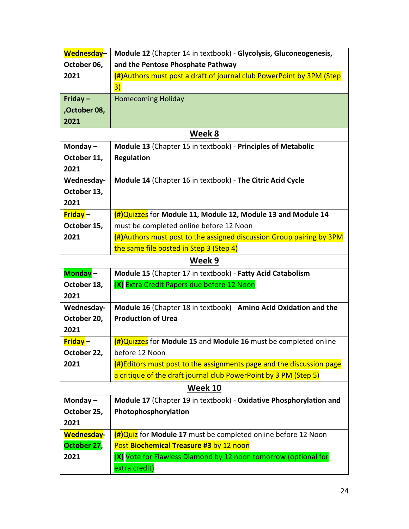| Wednesday-        | Module 12 (Chapter 14 in textbook) - Glycolysis, Gluconeogenesis,    |  |  |  |
|-------------------|----------------------------------------------------------------------|--|--|--|
| October 06,       | and the Pentose Phosphate Pathway                                    |  |  |  |
| 2021              | (#)Authors must post a draft of journal club PowerPoint by 3PM (Step |  |  |  |
|                   | 3)                                                                   |  |  |  |
| Friday $-$        | <b>Homecoming Holiday</b>                                            |  |  |  |
| ,October 08,      |                                                                      |  |  |  |
| 2021              |                                                                      |  |  |  |
| Week 8            |                                                                      |  |  |  |
| Monday $-$        | Module 13 (Chapter 15 in textbook) - Principles of Metabolic         |  |  |  |
| October 11,       | <b>Regulation</b>                                                    |  |  |  |
| 2021              |                                                                      |  |  |  |
| Wednesday-        | Module 14 (Chapter 16 in textbook) - The Citric Acid Cycle           |  |  |  |
| October 13,       |                                                                      |  |  |  |
| 2021              |                                                                      |  |  |  |
| <b>Friday-</b>    | (#)Quizzes for Module 11, Module 12, Module 13 and Module 14         |  |  |  |
| October 15,       | must be completed online before 12 Noon                              |  |  |  |
| 2021              | (#)Authors must post to the assigned discussion Group pairing by 3PM |  |  |  |
|                   | the same file posted in Step 3 (Step 4)                              |  |  |  |
| Week 9            |                                                                      |  |  |  |
| Monday-           | Module 15 (Chapter 17 in textbook) - Fatty Acid Catabolism           |  |  |  |
| October 18,       | (X) Extra Credit Papers due before 12 Noon                           |  |  |  |
| 2021              |                                                                      |  |  |  |
| Wednesday-        | Module 16 (Chapter 18 in textbook) - Amino Acid Oxidation and the    |  |  |  |
| October 20,       | <b>Production of Urea</b>                                            |  |  |  |
| 2021              |                                                                      |  |  |  |
| <b>Friday-</b>    | (#)Quizzes for Module 15 and Module 16 must be completed online      |  |  |  |
| October 22,       | before 12 Noon                                                       |  |  |  |
| 2021              | (#)Editors must post to the assignments page and the discussion page |  |  |  |
|                   | a critique of the draft journal club PowerPoint by 3 PM (Step 5)     |  |  |  |
| Week 10           |                                                                      |  |  |  |
| Monday $-$        | Module 17 (Chapter 19 in textbook) - Oxidative Phosphorylation and   |  |  |  |
| October 25,       | Photophosphorylation                                                 |  |  |  |
| 2021              |                                                                      |  |  |  |
| <b>Wednesday-</b> | $(H)$ Quiz for Module 17 must be completed online before 12 Noon     |  |  |  |
| October 27,       | Post Biochemical Treasure #3 by 12 noon                              |  |  |  |
| 2021              | (X) Vote for Flawless Diamond by 12 noon tomorrow (optional for      |  |  |  |
|                   | extra credit)                                                        |  |  |  |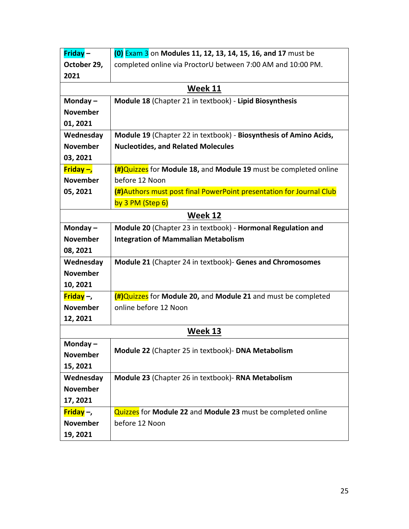| Friday-                       | (0) Exam 3 on Modules 11, 12, 13, 14, 15, 16, and 17 must be        |  |  |  |
|-------------------------------|---------------------------------------------------------------------|--|--|--|
| October 29,                   | completed online via ProctorU between 7:00 AM and 10:00 PM.         |  |  |  |
| 2021                          |                                                                     |  |  |  |
|                               | Week 11                                                             |  |  |  |
| Monday $-$                    | Module 18 (Chapter 21 in textbook) - Lipid Biosynthesis             |  |  |  |
| <b>November</b>               |                                                                     |  |  |  |
| 01, 2021                      |                                                                     |  |  |  |
| Wednesday                     | Module 19 (Chapter 22 in textbook) - Biosynthesis of Amino Acids,   |  |  |  |
| <b>November</b>               | <b>Nucleotides, and Related Molecules</b>                           |  |  |  |
| 03, 2021                      |                                                                     |  |  |  |
| <b>Friday <math>-</math>,</b> | (#)Quizzes for Module 18, and Module 19 must be completed online    |  |  |  |
| <b>November</b>               | before 12 Noon                                                      |  |  |  |
| 05, 2021                      | (#)Authors must post final PowerPoint presentation for Journal Club |  |  |  |
|                               | by 3 PM (Step 6)                                                    |  |  |  |
| Week 12                       |                                                                     |  |  |  |
| Monday-                       | Module 20 (Chapter 23 in textbook) - Hormonal Regulation and        |  |  |  |
| <b>November</b>               | <b>Integration of Mammalian Metabolism</b>                          |  |  |  |
| 08, 2021                      |                                                                     |  |  |  |
| Wednesday                     | Module 21 (Chapter 24 in textbook) - Genes and Chromosomes          |  |  |  |
| <b>November</b>               |                                                                     |  |  |  |
| 10, 2021                      |                                                                     |  |  |  |
| Friday $-$ ,                  | (#)Quizzes for Module 20, and Module 21 and must be completed       |  |  |  |
| <b>November</b>               | online before 12 Noon                                               |  |  |  |
| 12, 2021                      |                                                                     |  |  |  |
|                               | Week 13                                                             |  |  |  |
| Monday $-$                    | Module 22 (Chapter 25 in textbook)- DNA Metabolism                  |  |  |  |
| <b>November</b>               |                                                                     |  |  |  |
| 15, 2021                      |                                                                     |  |  |  |
| Wednesday                     | Module 23 (Chapter 26 in textbook)- RNA Metabolism                  |  |  |  |
| <b>November</b>               |                                                                     |  |  |  |
| 17, 2021                      |                                                                     |  |  |  |
| Friday $-$ ,                  | Quizzes for Module 22 and Module 23 must be completed online        |  |  |  |
| <b>November</b>               | before 12 Noon                                                      |  |  |  |
| 19, 2021                      |                                                                     |  |  |  |